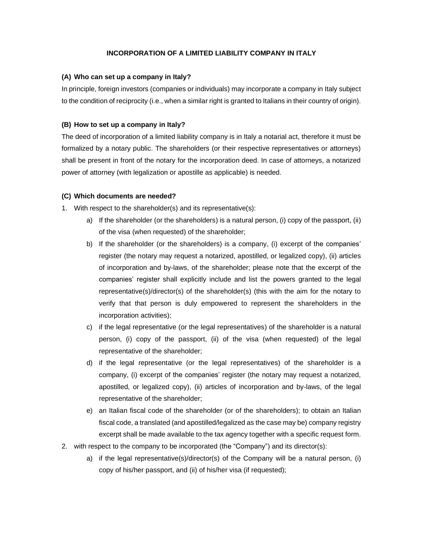# **INCORPORATION OF A LIMITED LIABILITY COMPANY IN ITALY**

#### **(A) Who can set up a company in Italy?**

In principle, foreign investors (companies or individuals) may incorporate a company in Italy subject to the condition of reciprocity (i.e., when a similar right is granted to Italians in their country of origin).

### **(B) How to set up a company in Italy?**

The deed of incorporation of a limited liability company is in Italy a notarial act, therefore it must be formalized by a notary public. The shareholders (or their respective representatives or attorneys) shall be present in front of the notary for the incorporation deed. In case of attorneys, a notarized power of attorney (with legalization or apostille as applicable) is needed.

#### **(C) Which documents are needed?**

- 1. With respect to the shareholder(s) and its representative(s):
	- a) If the shareholder (or the shareholders) is a natural person, (i) copy of the passport, (ii) of the visa (when requested) of the shareholder;
	- b) If the shareholder (or the shareholders) is a company, (i) excerpt of the companies' register (the notary may request a notarized, apostilled, or legalized copy), (ii) articles of incorporation and by-laws, of the shareholder; please note that the excerpt of the companies' register shall explicitly include and list the powers granted to the legal representative(s)/director(s) of the shareholder(s) (this with the aim for the notary to verify that that person is duly empowered to represent the shareholders in the incorporation activities);
	- c) if the legal representative (or the legal representatives) of the shareholder is a natural person, (i) copy of the passport, (ii) of the visa (when requested) of the legal representative of the shareholder;
	- d) if the legal representative (or the legal representatives) of the shareholder is a company, (i) excerpt of the companies' register (the notary may request a notarized, apostilled, or legalized copy), (ii) articles of incorporation and by-laws, of the legal representative of the shareholder;
	- e) an Italian fiscal code of the shareholder (or of the shareholders); to obtain an Italian fiscal code, a translated (and apostilled/legalized as the case may be) company registry excerpt shall be made available to the tax agency together with a specific request form.
- 2. with respect to the company to be incorporated (the "Company") and its director(s):
	- a) if the legal representative(s)/director(s) of the Company will be a natural person, (i) copy of his/her passport, and (ii) of his/her visa (if requested);